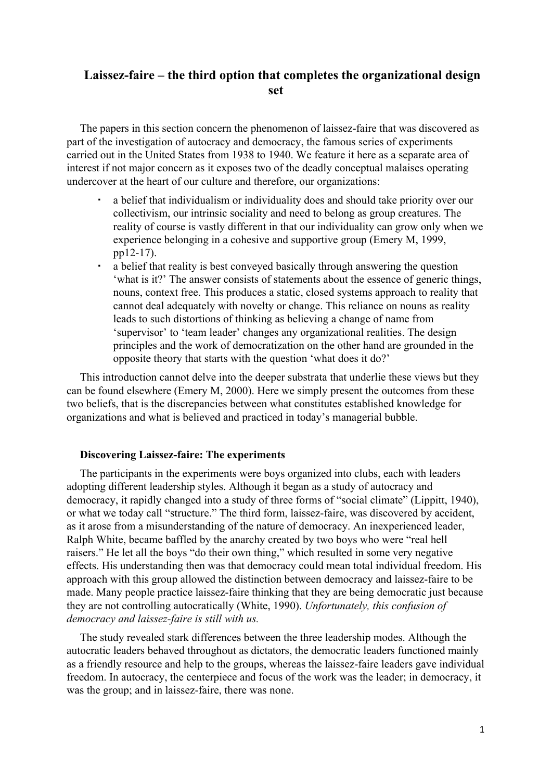# **Laissez-faire – the third option that completes the organizational design set**

The papers in this section concern the phenomenon of laissez-faire that was discovered as part of the investigation of autocracy and democracy, the famous series of experiments carried out in the United States from 1938 to 1940. We feature it here as a separate area of interest if not major concern as it exposes two of the deadly conceptual malaises operating undercover at the heart of our culture and therefore, our organizations:

- a belief that individualism or individuality does and should take priority over our collectivism, our intrinsic sociality and need to belong as group creatures. The reality of course is vastly different in that our individuality can grow only when we experience belonging in a cohesive and supportive group (Emery M, 1999, pp12-17).
- a belief that reality is best conveyed basically through answering the question 'what is it?' The answer consists of statements about the essence of generic things, nouns, context free. This produces a static, closed systems approach to reality that cannot deal adequately with novelty or change. This reliance on nouns as reality leads to such distortions of thinking as believing a change of name from 'supervisor' to 'team leader' changes any organizational realities. The design principles and the work of democratization on the other hand are grounded in the opposite theory that starts with the question 'what does it do?'

This introduction cannot delve into the deeper substrata that underlie these views but they can be found elsewhere (Emery M, 2000). Here we simply present the outcomes from these two beliefs, that is the discrepancies between what constitutes established knowledge for organizations and what is believed and practiced in today's managerial bubble.

### **Discovering Laissez-faire: The experiments**

The participants in the experiments were boys organized into clubs, each with leaders adopting different leadership styles. Although it began as a study of autocracy and democracy, it rapidly changed into a study of three forms of "social climate" (Lippitt, 1940), or what we today call "structure." The third form, laissez-faire, was discovered by accident, as it arose from a misunderstanding of the nature of democracy. An inexperienced leader, Ralph White, became baffled by the anarchy created by two boys who were "real hell raisers." He let all the boys "do their own thing," which resulted in some very negative effects. His understanding then was that democracy could mean total individual freedom. His approach with this group allowed the distinction between democracy and laissez-faire to be made. Many people practice laissez-faire thinking that they are being democratic just because they are not controlling autocratically (White, 1990). *Unfortunately, this confusion of democracy and laissez-faire is still with us.*

The study revealed stark differences between the three leadership modes. Although the autocratic leaders behaved throughout as dictators, the democratic leaders functioned mainly as a friendly resource and help to the groups, whereas the laissez-faire leaders gave individual freedom. In autocracy, the centerpiece and focus of the work was the leader; in democracy, it was the group; and in laissez-faire, there was none.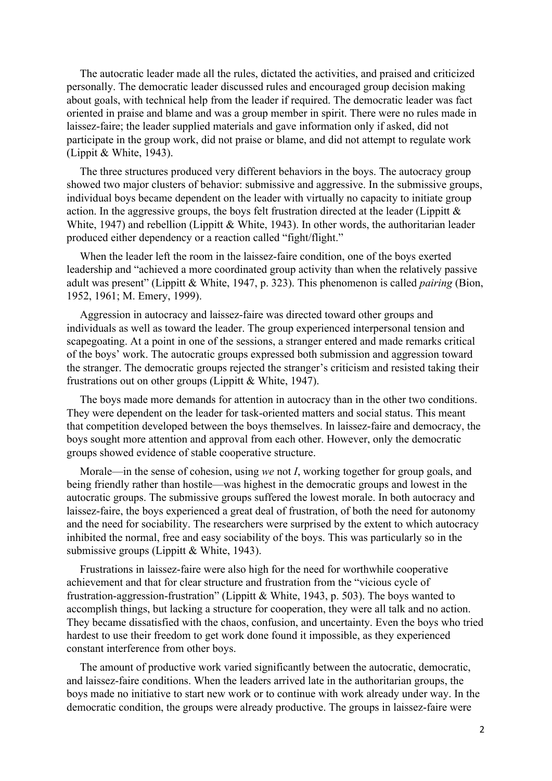The autocratic leader made all the rules, dictated the activities, and praised and criticized personally. The democratic leader discussed rules and encouraged group decision making about goals, with technical help from the leader if required. The democratic leader was fact oriented in praise and blame and was a group member in spirit. There were no rules made in laissez-faire; the leader supplied materials and gave information only if asked, did not participate in the group work, did not praise or blame, and did not attempt to regulate work (Lippit & White, 1943).

The three structures produced very different behaviors in the boys. The autocracy group showed two major clusters of behavior: submissive and aggressive. In the submissive groups, individual boys became dependent on the leader with virtually no capacity to initiate group action. In the aggressive groups, the boys felt frustration directed at the leader (Lippitt  $\&$ White, 1947) and rebellion (Lippitt & White, 1943). In other words, the authoritarian leader produced either dependency or a reaction called "fight/flight."

When the leader left the room in the laissez-faire condition, one of the boys exerted leadership and "achieved a more coordinated group activity than when the relatively passive adult was present" (Lippitt & White, 1947, p. 323). This phenomenon is called *pairing* (Bion, 1952, 1961; M. Emery, 1999).

Aggression in autocracy and laissez-faire was directed toward other groups and individuals as well as toward the leader. The group experienced interpersonal tension and scapegoating. At a point in one of the sessions, a stranger entered and made remarks critical of the boys' work. The autocratic groups expressed both submission and aggression toward the stranger. The democratic groups rejected the stranger's criticism and resisted taking their frustrations out on other groups (Lippitt & White, 1947).

The boys made more demands for attention in autocracy than in the other two conditions. They were dependent on the leader for task-oriented matters and social status. This meant that competition developed between the boys themselves. In laissez-faire and democracy, the boys sought more attention and approval from each other. However, only the democratic groups showed evidence of stable cooperative structure.

Morale—in the sense of cohesion, using *we* not *I*, working together for group goals, and being friendly rather than hostile—was highest in the democratic groups and lowest in the autocratic groups. The submissive groups suffered the lowest morale. In both autocracy and laissez-faire, the boys experienced a great deal of frustration, of both the need for autonomy and the need for sociability. The researchers were surprised by the extent to which autocracy inhibited the normal, free and easy sociability of the boys. This was particularly so in the submissive groups (Lippitt & White, 1943).

Frustrations in laissez-faire were also high for the need for worthwhile cooperative achievement and that for clear structure and frustration from the "vicious cycle of frustration-aggression-frustration" (Lippitt & White, 1943, p. 503). The boys wanted to accomplish things, but lacking a structure for cooperation, they were all talk and no action. They became dissatisfied with the chaos, confusion, and uncertainty. Even the boys who tried hardest to use their freedom to get work done found it impossible, as they experienced constant interference from other boys.

The amount of productive work varied significantly between the autocratic, democratic, and laissez-faire conditions. When the leaders arrived late in the authoritarian groups, the boys made no initiative to start new work or to continue with work already under way. In the democratic condition, the groups were already productive. The groups in laissez-faire were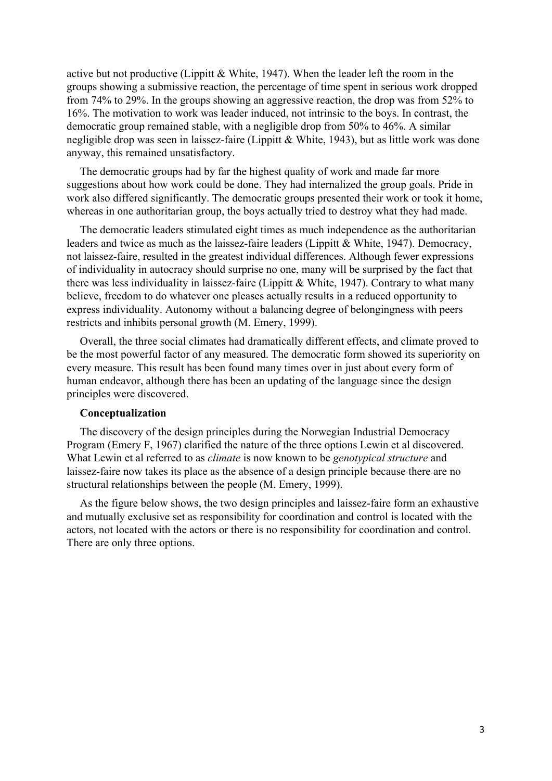active but not productive (Lippitt & White, 1947). When the leader left the room in the groups showing a submissive reaction, the percentage of time spent in serious work dropped from 74% to 29%. In the groups showing an aggressive reaction, the drop was from 52% to 16%. The motivation to work was leader induced, not intrinsic to the boys. In contrast, the democratic group remained stable, with a negligible drop from 50% to 46%. A similar negligible drop was seen in laissez-faire (Lippitt & White, 1943), but as little work was done anyway, this remained unsatisfactory.

The democratic groups had by far the highest quality of work and made far more suggestions about how work could be done. They had internalized the group goals. Pride in work also differed significantly. The democratic groups presented their work or took it home, whereas in one authoritarian group, the boys actually tried to destroy what they had made.

The democratic leaders stimulated eight times as much independence as the authoritarian leaders and twice as much as the laissez-faire leaders (Lippitt & White, 1947). Democracy, not laissez-faire, resulted in the greatest individual differences. Although fewer expressions of individuality in autocracy should surprise no one, many will be surprised by the fact that there was less individuality in laissez-faire (Lippitt & White, 1947). Contrary to what many believe, freedom to do whatever one pleases actually results in a reduced opportunity to express individuality. Autonomy without a balancing degree of belongingness with peers restricts and inhibits personal growth (M. Emery, 1999).

Overall, the three social climates had dramatically different effects, and climate proved to be the most powerful factor of any measured. The democratic form showed its superiority on every measure. This result has been found many times over in just about every form of human endeavor, although there has been an updating of the language since the design principles were discovered.

## **Conceptualization**

The discovery of the design principles during the Norwegian Industrial Democracy Program (Emery F, 1967) clarified the nature of the three options Lewin et al discovered. What Lewin et al referred to as *climate* is now known to be *genotypical structure* and laissez-faire now takes its place as the absence of a design principle because there are no structural relationships between the people (M. Emery, 1999).

As the figure below shows, the two design principles and laissez-faire form an exhaustive and mutually exclusive set as responsibility for coordination and control is located with the actors, not located with the actors or there is no responsibility for coordination and control. There are only three options.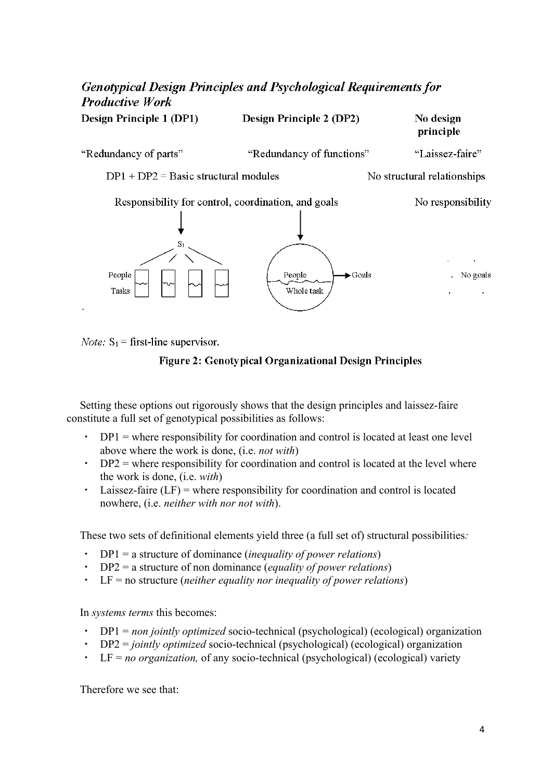# **Genotypical Design Principles and Psychological Requirements for Productive Work** Design Principle 1 (DP1) Design Principle 2 (DP2) No design principle "Redundancy of parts" "Redundancy of functions" "Laissez-faire"  $DP1 + DP2 = Basic structural modules$ No structural relationships Responsibility for control, coordination, and goals No responsibility People  $\blacktriangleright$  Goals No goals People Whole task Tasks

*Note:*  $S_1$  = first-line supervisor.



Setting these options out rigorously shows that the design principles and laissez-faire constitute a full set of genotypical possibilities as follows:

- $DP1 =$  where responsibility for coordination and control is located at least one level above where the work is done, (i.e. *not with*)
- $\cdot$  DP2 = where responsibility for coordination and control is located at the level where the work is done, (i.e. *with*)
- $\cdot$  Laissez-faire (LF) = where responsibility for coordination and control is located nowhere, (i.e. *neither with nor not with*).

These two sets of definitional elements yield three (a full set of) structural possibilities*:*

- DP1 = a structure of dominance (*inequality of power relations*)
- DP2 = a structure of non dominance (*equality of power relations*)
- LF = no structure (*neither equality nor inequality of power relations*)

In *systems terms* this becomes:

- DP1 = *non jointly optimized* socio-technical (psychological) (ecological) organization
- DP2 = *jointly optimized* socio-technical (psychological) (ecological) organization
- LF = *no organization,* of any socio-technical (psychological) (ecological) variety

Therefore we see that: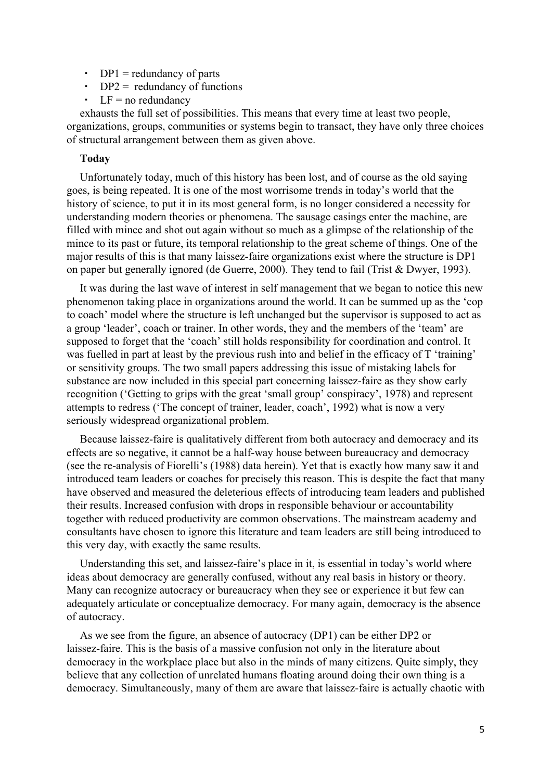- $\cdot$  DP1 = redundancy of parts
- $\cdot$  DP2 = redundancy of functions
- $\cdot$  LF = no redundancy

exhausts the full set of possibilities. This means that every time at least two people, organizations, groups, communities or systems begin to transact, they have only three choices of structural arrangement between them as given above.

### **Today**

Unfortunately today, much of this history has been lost, and of course as the old saying goes, is being repeated. It is one of the most worrisome trends in today's world that the history of science, to put it in its most general form, is no longer considered a necessity for understanding modern theories or phenomena. The sausage casings enter the machine, are filled with mince and shot out again without so much as a glimpse of the relationship of the mince to its past or future, its temporal relationship to the great scheme of things. One of the major results of this is that many laissez-faire organizations exist where the structure is DP1 on paper but generally ignored (de Guerre, 2000). They tend to fail (Trist & Dwyer, 1993).

It was during the last wave of interest in self management that we began to notice this new phenomenon taking place in organizations around the world. It can be summed up as the 'cop to coach' model where the structure is left unchanged but the supervisor is supposed to act as a group 'leader', coach or trainer. In other words, they and the members of the 'team' are supposed to forget that the 'coach' still holds responsibility for coordination and control. It was fuelled in part at least by the previous rush into and belief in the efficacy of T 'training' or sensitivity groups. The two small papers addressing this issue of mistaking labels for substance are now included in this special part concerning laissez-faire as they show early recognition ('Getting to grips with the great 'small group' conspiracy', 1978) and represent attempts to redress ('The concept of trainer, leader, coach', 1992) what is now a very seriously widespread organizational problem.

Because laissez-faire is qualitatively different from both autocracy and democracy and its effects are so negative, it cannot be a half-way house between bureaucracy and democracy (see the re-analysis of Fiorelli's (1988) data herein). Yet that is exactly how many saw it and introduced team leaders or coaches for precisely this reason. This is despite the fact that many have observed and measured the deleterious effects of introducing team leaders and published their results. Increased confusion with drops in responsible behaviour or accountability together with reduced productivity are common observations. The mainstream academy and consultants have chosen to ignore this literature and team leaders are still being introduced to this very day, with exactly the same results.

Understanding this set, and laissez-faire's place in it, is essential in today's world where ideas about democracy are generally confused, without any real basis in history or theory. Many can recognize autocracy or bureaucracy when they see or experience it but few can adequately articulate or conceptualize democracy. For many again, democracy is the absence of autocracy.

As we see from the figure, an absence of autocracy (DP1) can be either DP2 or laissez-faire. This is the basis of a massive confusion not only in the literature about democracy in the workplace place but also in the minds of many citizens. Quite simply, they believe that any collection of unrelated humans floating around doing their own thing is a democracy. Simultaneously, many of them are aware that laissez-faire is actually chaotic with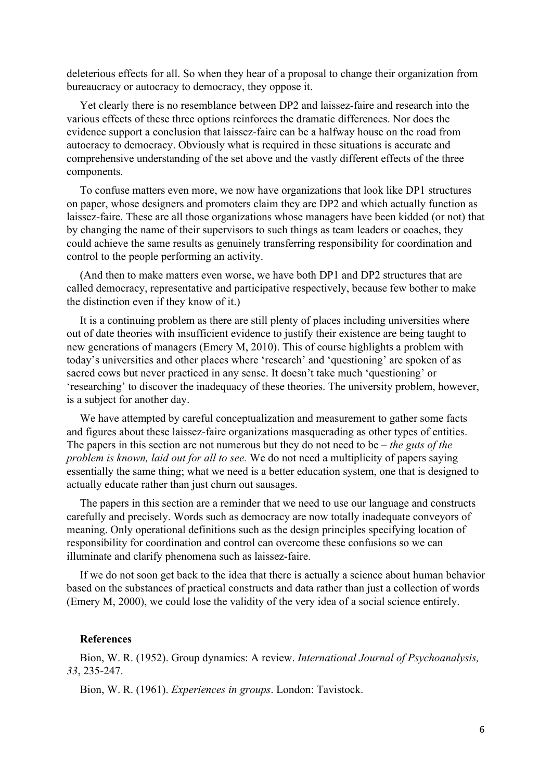deleterious effects for all. So when they hear of a proposal to change their organization from bureaucracy or autocracy to democracy, they oppose it.

Yet clearly there is no resemblance between DP2 and laissez-faire and research into the various effects of these three options reinforces the dramatic differences. Nor does the evidence support a conclusion that laissez-faire can be a halfway house on the road from autocracy to democracy. Obviously what is required in these situations is accurate and comprehensive understanding of the set above and the vastly different effects of the three components.

To confuse matters even more, we now have organizations that look like DP1 structures on paper, whose designers and promoters claim they are DP2 and which actually function as laissez-faire. These are all those organizations whose managers have been kidded (or not) that by changing the name of their supervisors to such things as team leaders or coaches, they could achieve the same results as genuinely transferring responsibility for coordination and control to the people performing an activity.

(And then to make matters even worse, we have both DP1 and DP2 structures that are called democracy, representative and participative respectively, because few bother to make the distinction even if they know of it.)

It is a continuing problem as there are still plenty of places including universities where out of date theories with insufficient evidence to justify their existence are being taught to new generations of managers (Emery M, 2010). This of course highlights a problem with today's universities and other places where 'research' and 'questioning' are spoken of as sacred cows but never practiced in any sense. It doesn't take much 'questioning' or 'researching' to discover the inadequacy of these theories. The university problem, however, is a subject for another day.

We have attempted by careful conceptualization and measurement to gather some facts and figures about these laissez-faire organizations masquerading as other types of entities. The papers in this section are not numerous but they do not need to be – *the guts of the problem is known, laid out for all to see.* We do not need a multiplicity of papers saying essentially the same thing; what we need is a better education system, one that is designed to actually educate rather than just churn out sausages.

The papers in this section are a reminder that we need to use our language and constructs carefully and precisely. Words such as democracy are now totally inadequate conveyors of meaning. Only operational definitions such as the design principles specifying location of responsibility for coordination and control can overcome these confusions so we can illuminate and clarify phenomena such as laissez-faire.

If we do not soon get back to the idea that there is actually a science about human behavior based on the substances of practical constructs and data rather than just a collection of words (Emery M, 2000), we could lose the validity of the very idea of a social science entirely.

### **References**

Bion, W. R. (1952). Group dynamics: A review. *International Journal of Psychoanalysis, 33*, 235-247.

Bion, W. R. (1961). *Experiences in groups*. London: Tavistock.